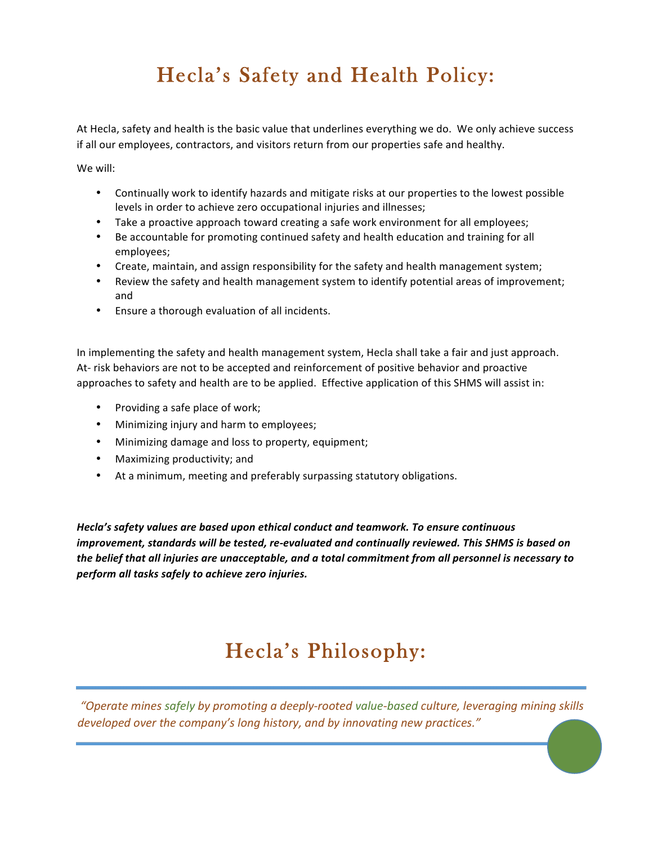# Hecla's Safety and Health Policy:

At Hecla, safety and health is the basic value that underlines everything we do. We only achieve success if all our employees, contractors, and visitors return from our properties safe and healthy.

We will:

- Continually work to identify hazards and mitigate risks at our properties to the lowest possible levels in order to achieve zero occupational injuries and illnesses;
- Take a proactive approach toward creating a safe work environment for all employees;
- Be accountable for promoting continued safety and health education and training for all employees;
- Create, maintain, and assign responsibility for the safety and health management system;
- Review the safety and health management system to identify potential areas of improvement; and
- Ensure a thorough evaluation of all incidents.

In implementing the safety and health management system, Hecla shall take a fair and just approach. At- risk behaviors are not to be accepted and reinforcement of positive behavior and proactive approaches to safety and health are to be applied. Effective application of this SHMS will assist in:

- Providing a safe place of work;
- Minimizing injury and harm to employees;
- Minimizing damage and loss to property, equipment;
- Maximizing productivity; and
- At a minimum, meeting and preferably surpassing statutory obligations.

Hecla's safety values are based upon ethical conduct and teamwork. To ensure continuous *improvement, standards will be tested, re-evaluated and continually reviewed. This SHMS is based on* the belief that all injuries are unacceptable, and a total commitment from all personnel is necessary to *perform all tasks safely to achieve zero injuries.*

# Hecla's Philosophy:

*"Operate mines safely by promoting a deeply-rooted value-based culture, leveraging mining skills*  developed over the company's long history, and by innovating new practices."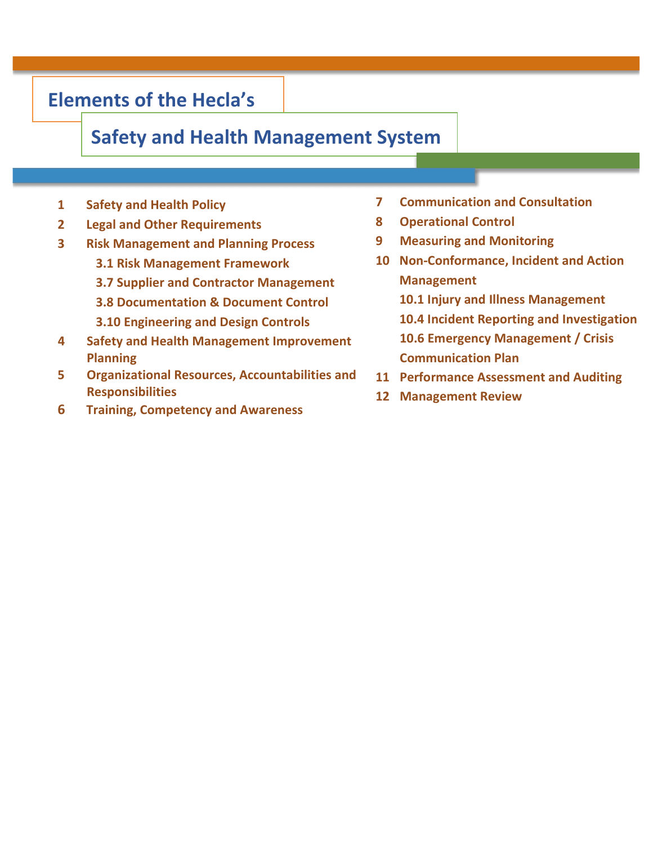### **Elements of the Hecla's**

### **Safety and Health Management System**

- **1 Safety and Health Policy**
- **2 Legal and Other Requirements 8**
- **3 Risk Management and Planning Process**
	- **3.1 Risk Management Framework**
	- **3.7 Supplier and Contractor Management**
	- **3.8 Documentation & Document Control**
	- **3.10 Engineering and Design Controls**
- **4** Safety and Health Management Improvement **Planning**
- **5 Organizational Resources, Accountabilities and Responsibilities**
- **6 Training, Competency and Awareness**
- *Communication and Consultation*
- **8 Operational Control**
- **9 Measuring and Monitoring**
- **10** Non-Conformance, Incident and Action **Management**
	- **10.1 Injury and Illness Management**
	- **10.4 Incident Reporting and Investigation**
	- **10.6 Emergency Management / Crisis Communication Plan**
- **11 Performance Assessment and Auditing**
- **12 Management Review**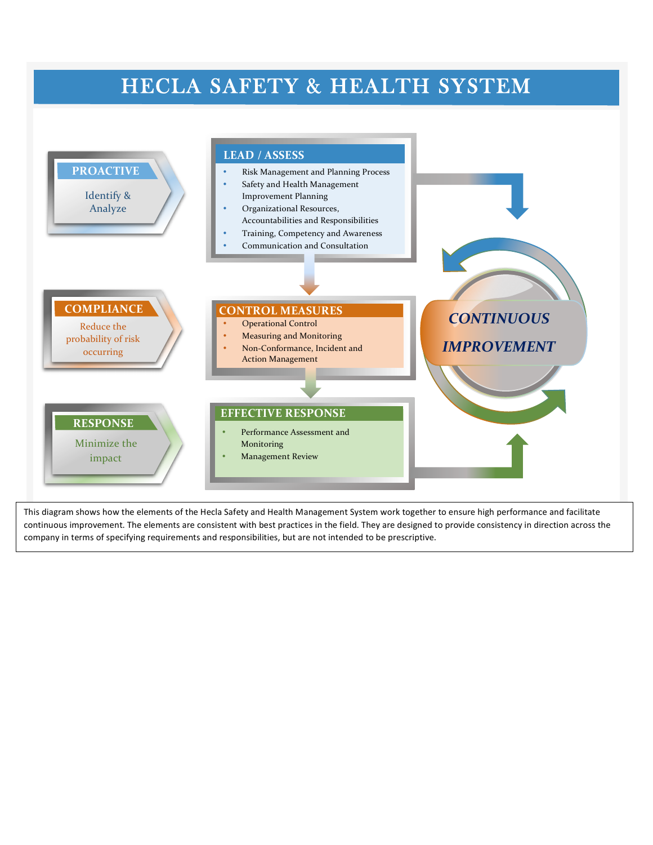## HECLA SAFETY & HEALTH SYSTEM

METHODOLOGY



This diagram shows how the elements of the Hecla Safety and Health Management System work together to ensure high performance and facilitate continuous improvement. The elements are consistent with best practices in the field. They are designed to provide consistency in direction across the company in terms of specifying requirements and responsibilities, but are not intended to be prescriptive.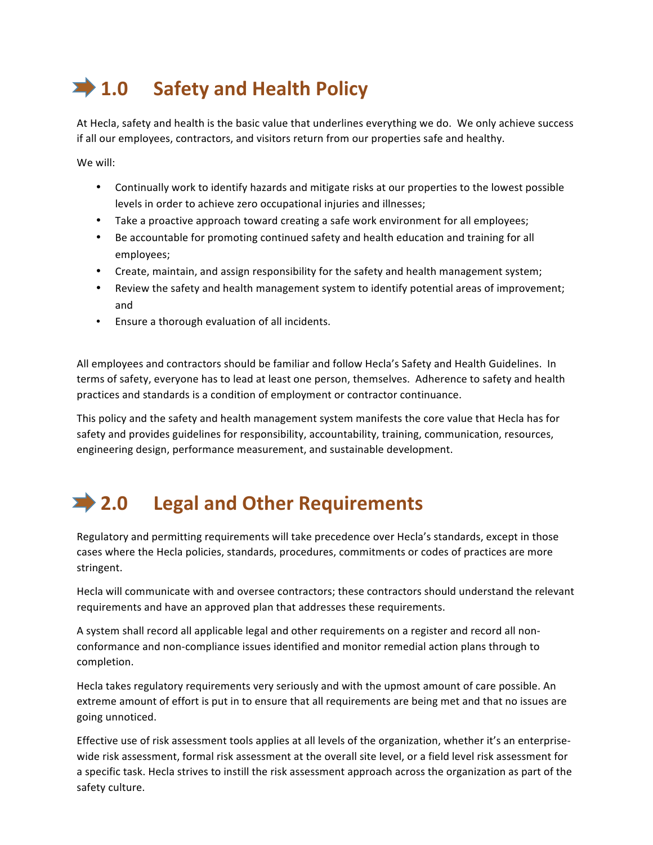# **1.0 Safety and Health Policy**

At Hecla, safety and health is the basic value that underlines everything we do. We only achieve success if all our employees, contractors, and visitors return from our properties safe and healthy.

We will:

- Continually work to identify hazards and mitigate risks at our properties to the lowest possible levels in order to achieve zero occupational injuries and illnesses;
- Take a proactive approach toward creating a safe work environment for all employees;
- Be accountable for promoting continued safety and health education and training for all employees;
- Create, maintain, and assign responsibility for the safety and health management system;
- Review the safety and health management system to identify potential areas of improvement; and
- Ensure a thorough evaluation of all incidents.

All employees and contractors should be familiar and follow Hecla's Safety and Health Guidelines. In terms of safety, everyone has to lead at least one person, themselves. Adherence to safety and health practices and standards is a condition of employment or contractor continuance.

This policy and the safety and health management system manifests the core value that Hecla has for safety and provides guidelines for responsibility, accountability, training, communication, resources, engineering design, performance measurement, and sustainable development.

## 2.0 Legal and Other Requirements

Regulatory and permitting requirements will take precedence over Hecla's standards, except in those cases where the Hecla policies, standards, procedures, commitments or codes of practices are more stringent. 

Hecla will communicate with and oversee contractors; these contractors should understand the relevant requirements and have an approved plan that addresses these requirements.

A system shall record all applicable legal and other requirements on a register and record all nonconformance and non-compliance issues identified and monitor remedial action plans through to completion.

Hecla takes regulatory requirements very seriously and with the upmost amount of care possible. An extreme amount of effort is put in to ensure that all requirements are being met and that no issues are going unnoticed.

Effective use of risk assessment tools applies at all levels of the organization, whether it's an enterprisewide risk assessment, formal risk assessment at the overall site level, or a field level risk assessment for a specific task. Hecla strives to instill the risk assessment approach across the organization as part of the safety culture.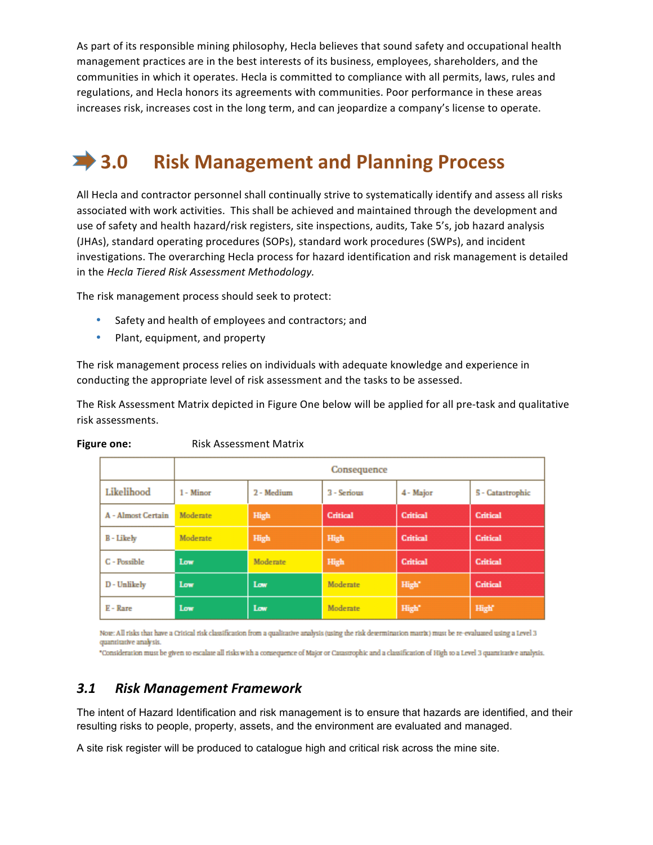As part of its responsible mining philosophy, Hecla believes that sound safety and occupational health management practices are in the best interests of its business, employees, shareholders, and the communities in which it operates. Hecla is committed to compliance with all permits, laws, rules and regulations, and Hecla honors its agreements with communities. Poor performance in these areas increases risk, increases cost in the long term, and can jeopardize a company's license to operate.

## **3.0 Risk Management and Planning Process**

All Hecla and contractor personnel shall continually strive to systematically identify and assess all risks associated with work activities. This shall be achieved and maintained through the development and use of safety and health hazard/risk registers, site inspections, audits, Take 5's, job hazard analysis (JHAs), standard operating procedures (SOPs), standard work procedures (SWPs), and incident investigations. The overarching Hecla process for hazard identification and risk management is detailed in the *Hecla Tiered Risk Assessment Methodology.* 

The risk management process should seek to protect:

- Safety and health of employees and contractors; and
- Plant, equipment, and property

The risk management process relies on individuals with adequate knowledge and experience in conducting the appropriate level of risk assessment and the tasks to be assessed.

The Risk Assessment Matrix depicted in Figure One below will be applied for all pre-task and qualitative risk assessments.

|                    | Consequence |            |             |           |                  |
|--------------------|-------------|------------|-------------|-----------|------------------|
| Likelihood         | 1 - Minor   | 2 - Medium | 3 - Serious | 4 - Major | 5 - Catastrophic |
| A - Almost Certain | Moderate    | High       | Critical    | Critical  | Critical         |
| <b>B-Likely</b>    | Moderate    | High       | High        | Critical  | Critical         |
| C - Possible       | Low         | Moderate   | High        | Critical  | Critical         |
| D - Unlikely       | Low         | Low        | Moderate    | High"     | Critical         |
| E - Rare           | Low         | Low        | Moderate    | High"     | High             |

**Figure one:** Risk Assessment Matrix

Note: All risks that have a Critical risk classification from a qualitative analysis (using the risk determination matrix) must be re-evaluated using a Level 3 quantitative analysis.

"Consideration must be given to escalate all risks with a consequence of Major or Caustrophic and a classification of High to a Level 3 quantitative analysis.

#### *3.1 Risk Management Framework*

The intent of Hazard Identification and risk management is to ensure that hazards are identified, and their resulting risks to people, property, assets, and the environment are evaluated and managed.

A site risk register will be produced to catalogue high and critical risk across the mine site.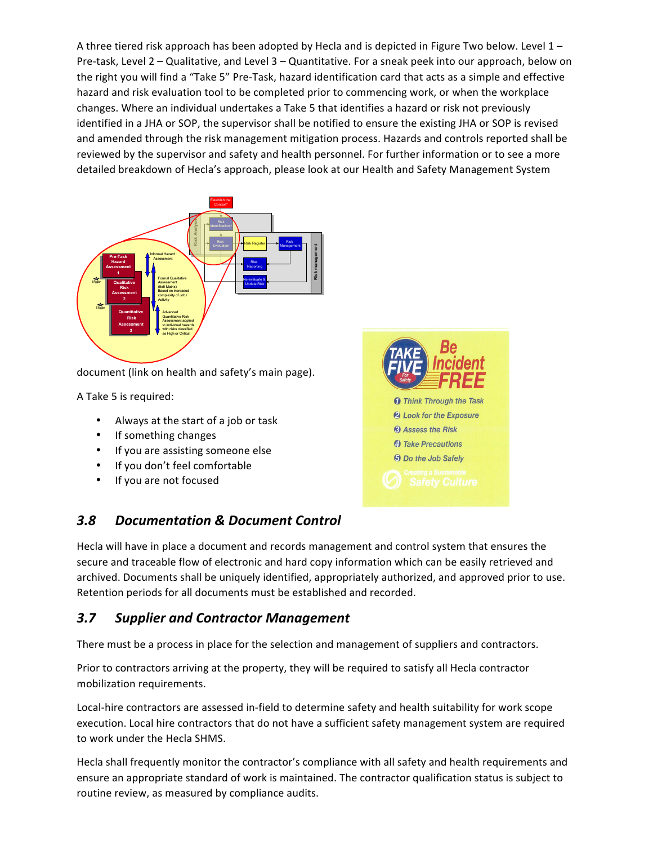A three tiered risk approach has been adopted by Hecla and is depicted in Figure Two below. Level  $1 -$ Pre-task, Level  $2 -$  Qualitative, and Level  $3 -$  Quantitative. For a sneak peek into our approach, below on the right you will find a "Take 5" Pre-Task, hazard identification card that acts as a simple and effective hazard and risk evaluation tool to be completed prior to commencing work, or when the workplace changes. Where an individual undertakes a Take 5 that identifies a hazard or risk not previously identified in a JHA or SOP, the supervisor shall be notified to ensure the existing JHA or SOP is revised and amended through the risk management mitigation process. Hazards and controls reported shall be reviewed by the supervisor and safety and health personnel. For further information or to see a more detailed breakdown of Hecla's approach, please look at our Health and Safety Management System



document (link on health and safety's main page).

A Take 5 is required:

- Always at the start of a job or task
- If something changes
- If you are assisting someone else
- If you don't feel comfortable
- If you are not focused



#### *3.8 Documentation & Document Control*

Hecla will have in place a document and records management and control system that ensures the secure and traceable flow of electronic and hard copy information which can be easily retrieved and archived. Documents shall be uniquely identified, appropriately authorized, and approved prior to use. Retention periods for all documents must be established and recorded.

#### *3.7 Supplier and Contractor Management*

There must be a process in place for the selection and management of suppliers and contractors.

Prior to contractors arriving at the property, they will be required to satisfy all Hecla contractor mobilization requirements.

Local-hire contractors are assessed in-field to determine safety and health suitability for work scope execution. Local hire contractors that do not have a sufficient safety management system are required to work under the Hecla SHMS.

Hecla shall frequently monitor the contractor's compliance with all safety and health requirements and ensure an appropriate standard of work is maintained. The contractor qualification status is subject to routine review, as measured by compliance audits.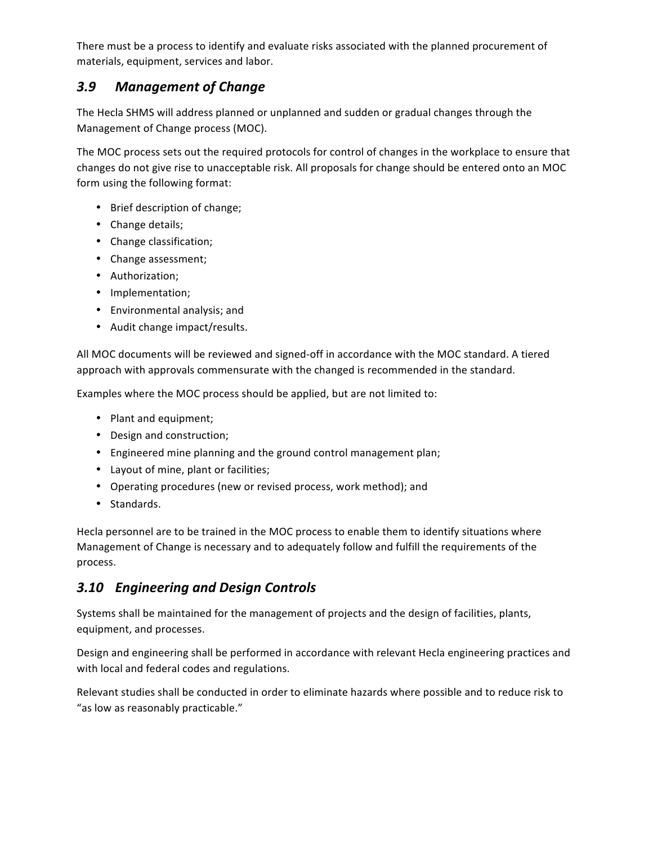There must be a process to identify and evaluate risks associated with the planned procurement of materials, equipment, services and labor.

#### *3.9 Management of Change*

The Hecla SHMS will address planned or unplanned and sudden or gradual changes through the Management of Change process (MOC).

The MOC process sets out the required protocols for control of changes in the workplace to ensure that changes do not give rise to unacceptable risk. All proposals for change should be entered onto an MOC form using the following format:

- Brief description of change;
- Change details;
- Change classification;
- Change assessment;
- Authorization;
- Implementation;
- Environmental analysis; and
- Audit change impact/results.

All MOC documents will be reviewed and signed-off in accordance with the MOC standard. A tiered approach with approvals commensurate with the changed is recommended in the standard.

Examples where the MOC process should be applied, but are not limited to:

- Plant and equipment;
- Design and construction;
- Engineered mine planning and the ground control management plan;
- Layout of mine, plant or facilities;
- Operating procedures (new or revised process, work method); and
- Standards.

Hecla personnel are to be trained in the MOC process to enable them to identify situations where Management of Change is necessary and to adequately follow and fulfill the requirements of the process.

#### *3.10 Engineering and Design Controls*

Systems shall be maintained for the management of projects and the design of facilities, plants, equipment, and processes.

Design and engineering shall be performed in accordance with relevant Hecla engineering practices and with local and federal codes and regulations.

Relevant studies shall be conducted in order to eliminate hazards where possible and to reduce risk to "as low as reasonably practicable."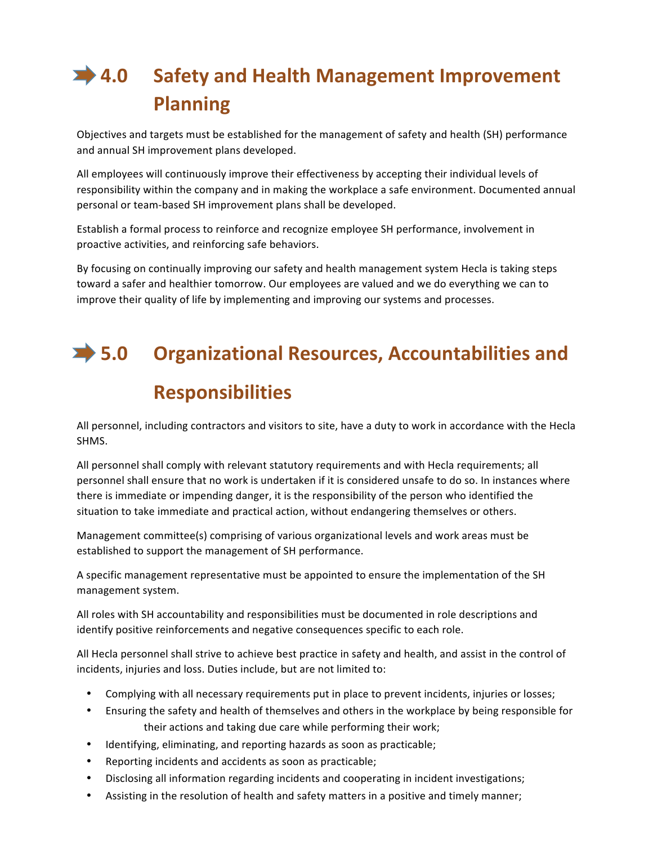# **→ 4.0** Safety and Health Management Improvement **Planning**

Objectives and targets must be established for the management of safety and health (SH) performance and annual SH improvement plans developed.

All employees will continuously improve their effectiveness by accepting their individual levels of responsibility within the company and in making the workplace a safe environment. Documented annual personal or team-based SH improvement plans shall be developed.

Establish a formal process to reinforce and recognize employee SH performance, involvement in proactive activities, and reinforcing safe behaviors.

By focusing on continually improving our safety and health management system Hecla is taking steps toward a safer and healthier tomorrow. Our employees are valued and we do everything we can to improve their quality of life by implementing and improving our systems and processes.

## $\rightarrow$  **5.0 Crganizational Resources, Accountabilities and**

### **Responsibilities**

All personnel, including contractors and visitors to site, have a duty to work in accordance with the Hecla SHMS.

All personnel shall comply with relevant statutory requirements and with Hecla requirements; all personnel shall ensure that no work is undertaken if it is considered unsafe to do so. In instances where there is immediate or impending danger, it is the responsibility of the person who identified the situation to take immediate and practical action, without endangering themselves or others.

Management committee(s) comprising of various organizational levels and work areas must be established to support the management of SH performance.

A specific management representative must be appointed to ensure the implementation of the SH management system.

All roles with SH accountability and responsibilities must be documented in role descriptions and identify positive reinforcements and negative consequences specific to each role.

All Hecla personnel shall strive to achieve best practice in safety and health, and assist in the control of incidents, injuries and loss. Duties include, but are not limited to:

- Complying with all necessary requirements put in place to prevent incidents, injuries or losses;
- Ensuring the safety and health of themselves and others in the workplace by being responsible for their actions and taking due care while performing their work;
- Identifying, eliminating, and reporting hazards as soon as practicable;
- Reporting incidents and accidents as soon as practicable;
- Disclosing all information regarding incidents and cooperating in incident investigations;
- Assisting in the resolution of health and safety matters in a positive and timely manner;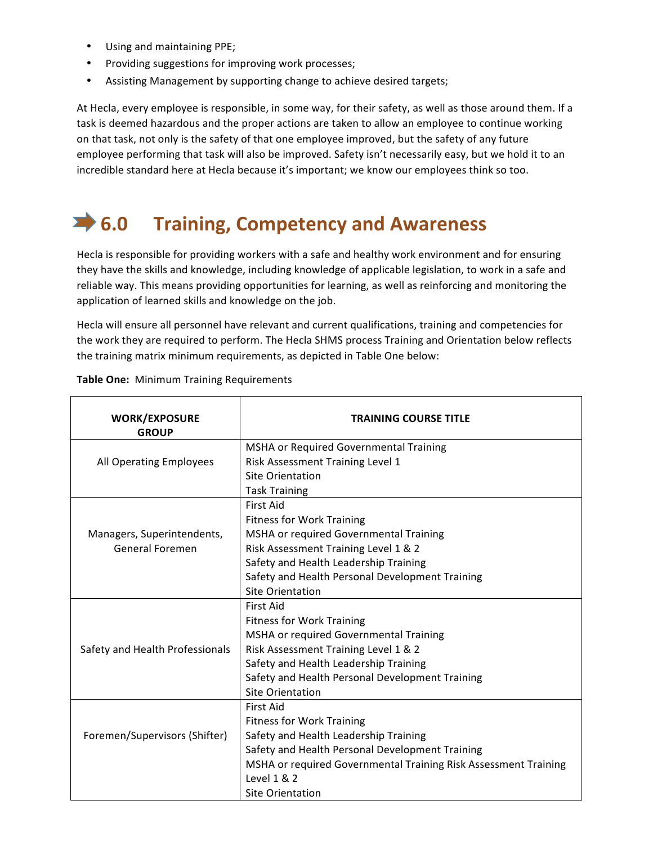- Using and maintaining PPE;
- Providing suggestions for improving work processes;
- Assisting Management by supporting change to achieve desired targets;

At Hecla, every employee is responsible, in some way, for their safety, as well as those around them. If a task is deemed hazardous and the proper actions are taken to allow an employee to continue working on that task, not only is the safety of that one employee improved, but the safety of any future employee performing that task will also be improved. Safety isn't necessarily easy, but we hold it to an incredible standard here at Hecla because it's important; we know our employees think so too.

## **<del>■ 6.0</del> Training, Competency and Awareness**

Hecla is responsible for providing workers with a safe and healthy work environment and for ensuring they have the skills and knowledge, including knowledge of applicable legislation, to work in a safe and reliable way. This means providing opportunities for learning, as well as reinforcing and monitoring the application of learned skills and knowledge on the job.

Hecla will ensure all personnel have relevant and current qualifications, training and competencies for the work they are required to perform. The Hecla SHMS process Training and Orientation below reflects the training matrix minimum requirements, as depicted in Table One below:

| <b>WORK/EXPOSURE</b><br><b>GROUP</b> | <b>TRAINING COURSE TITLE</b>                                    |  |  |
|--------------------------------------|-----------------------------------------------------------------|--|--|
|                                      | <b>MSHA or Required Governmental Training</b>                   |  |  |
| All Operating Employees              | Risk Assessment Training Level 1                                |  |  |
|                                      | <b>Site Orientation</b>                                         |  |  |
|                                      | <b>Task Training</b>                                            |  |  |
|                                      | <b>First Aid</b>                                                |  |  |
|                                      | <b>Fitness for Work Training</b>                                |  |  |
| Managers, Superintendents,           | MSHA or required Governmental Training                          |  |  |
| General Foremen                      | Risk Assessment Training Level 1 & 2                            |  |  |
|                                      | Safety and Health Leadership Training                           |  |  |
|                                      | Safety and Health Personal Development Training                 |  |  |
|                                      | <b>Site Orientation</b>                                         |  |  |
|                                      | First Aid                                                       |  |  |
|                                      | <b>Fitness for Work Training</b>                                |  |  |
|                                      | MSHA or required Governmental Training                          |  |  |
| Safety and Health Professionals      | Risk Assessment Training Level 1 & 2                            |  |  |
|                                      | Safety and Health Leadership Training                           |  |  |
|                                      | Safety and Health Personal Development Training                 |  |  |
|                                      | <b>Site Orientation</b>                                         |  |  |
|                                      | First Aid                                                       |  |  |
|                                      | <b>Fitness for Work Training</b>                                |  |  |
| Foremen/Supervisors (Shifter)        | Safety and Health Leadership Training                           |  |  |
|                                      | Safety and Health Personal Development Training                 |  |  |
|                                      | MSHA or required Governmental Training Risk Assessment Training |  |  |
|                                      | Level 1 & 2                                                     |  |  |
|                                      | Site Orientation                                                |  |  |

**Table One:** Minimum Training Requirements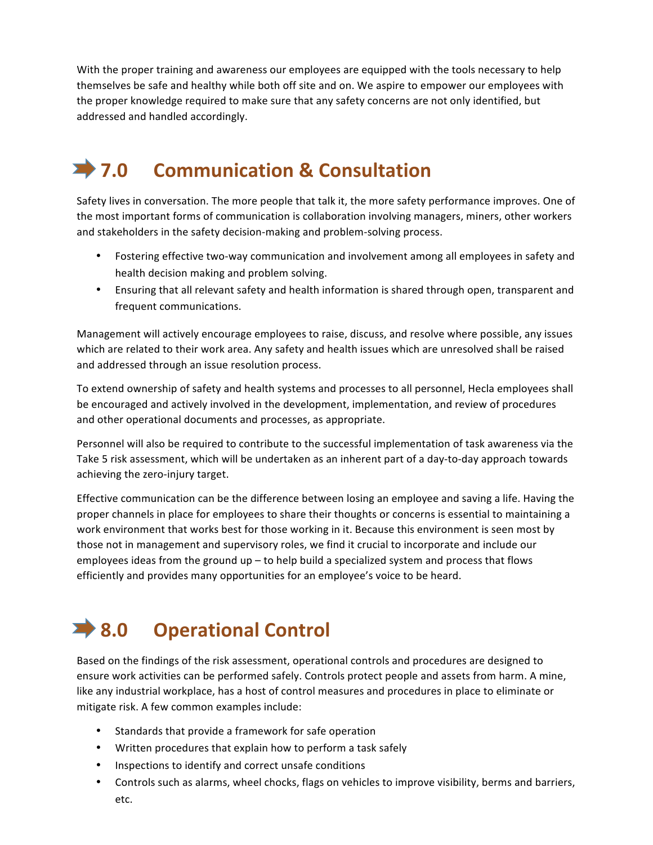With the proper training and awareness our employees are equipped with the tools necessary to help themselves be safe and healthy while both off site and on. We aspire to empower our employees with the proper knowledge required to make sure that any safety concerns are not only identified, but addressed and handled accordingly.

## **7.0 Communication & Consultation**

Safety lives in conversation. The more people that talk it, the more safety performance improves. One of the most important forms of communication is collaboration involving managers, miners, other workers and stakeholders in the safety decision-making and problem-solving process.

- Fostering effective two-way communication and involvement among all employees in safety and health decision making and problem solving.
- Ensuring that all relevant safety and health information is shared through open, transparent and frequent communications.

Management will actively encourage employees to raise, discuss, and resolve where possible, any issues which are related to their work area. Any safety and health issues which are unresolved shall be raised and addressed through an issue resolution process.

To extend ownership of safety and health systems and processes to all personnel, Hecla employees shall be encouraged and actively involved in the development, implementation, and review of procedures and other operational documents and processes, as appropriate.

Personnel will also be required to contribute to the successful implementation of task awareness via the Take 5 risk assessment, which will be undertaken as an inherent part of a day-to-day approach towards achieving the zero-injury target.

Effective communication can be the difference between losing an employee and saving a life. Having the proper channels in place for employees to share their thoughts or concerns is essential to maintaining a work environment that works best for those working in it. Because this environment is seen most by those not in management and supervisory roles, we find it crucial to incorporate and include our employees ideas from the ground  $up$  – to help build a specialized system and process that flows efficiently and provides many opportunities for an employee's voice to be heard.

## ■ 8.0 Operational Control

Based on the findings of the risk assessment, operational controls and procedures are designed to ensure work activities can be performed safely. Controls protect people and assets from harm. A mine, like any industrial workplace, has a host of control measures and procedures in place to eliminate or mitigate risk. A few common examples include:

- Standards that provide a framework for safe operation
- Written procedures that explain how to perform a task safely
- Inspections to identify and correct unsafe conditions
- Controls such as alarms, wheel chocks, flags on vehicles to improve visibility, berms and barriers, etc.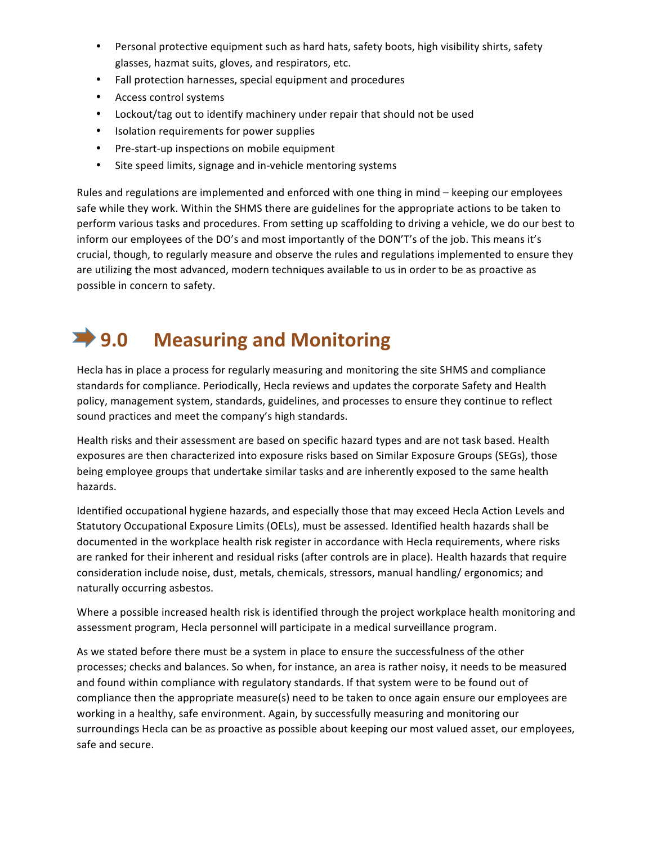- Personal protective equipment such as hard hats, safety boots, high visibility shirts, safety glasses, hazmat suits, gloves, and respirators, etc.
- Fall protection harnesses, special equipment and procedures
- Access control systems
- Lockout/tag out to identify machinery under repair that should not be used
- Isolation requirements for power supplies
- Pre-start-up inspections on mobile equipment
- Site speed limits, signage and in-vehicle mentoring systems

Rules and regulations are implemented and enforced with one thing in mind – keeping our employees safe while they work. Within the SHMS there are guidelines for the appropriate actions to be taken to perform various tasks and procedures. From setting up scaffolding to driving a vehicle, we do our best to inform our employees of the DO's and most importantly of the DON'T's of the job. This means it's crucial, though, to regularly measure and observe the rules and regulations implemented to ensure they are utilizing the most advanced, modern techniques available to us in order to be as proactive as possible in concern to safety.

### **■ 9.0 Measuring and Monitoring**

Hecla has in place a process for regularly measuring and monitoring the site SHMS and compliance standards for compliance. Periodically, Hecla reviews and updates the corporate Safety and Health policy, management system, standards, guidelines, and processes to ensure they continue to reflect sound practices and meet the company's high standards.

Health risks and their assessment are based on specific hazard types and are not task based. Health exposures are then characterized into exposure risks based on Similar Exposure Groups (SEGs), those being employee groups that undertake similar tasks and are inherently exposed to the same health hazards.

Identified occupational hygiene hazards, and especially those that may exceed Hecla Action Levels and Statutory Occupational Exposure Limits (OELs), must be assessed. Identified health hazards shall be documented in the workplace health risk register in accordance with Hecla requirements, where risks are ranked for their inherent and residual risks (after controls are in place). Health hazards that require consideration include noise, dust, metals, chemicals, stressors, manual handling/ ergonomics; and naturally occurring asbestos.

Where a possible increased health risk is identified through the project workplace health monitoring and assessment program, Hecla personnel will participate in a medical surveillance program.

As we stated before there must be a system in place to ensure the successfulness of the other processes; checks and balances. So when, for instance, an area is rather noisy, it needs to be measured and found within compliance with regulatory standards. If that system were to be found out of compliance then the appropriate measure(s) need to be taken to once again ensure our employees are working in a healthy, safe environment. Again, by successfully measuring and monitoring our surroundings Hecla can be as proactive as possible about keeping our most valued asset, our employees, safe and secure.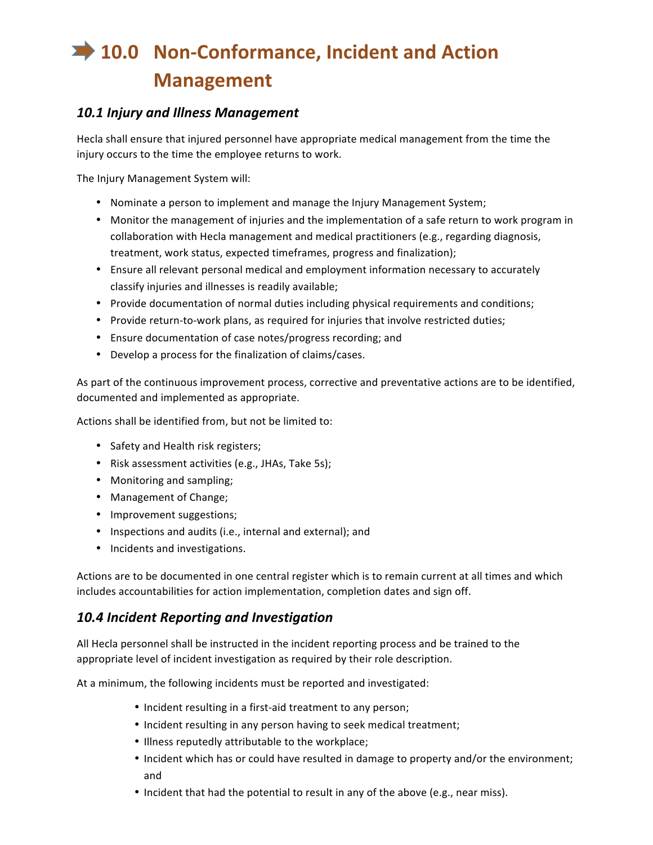# **10.0 Non-Conformance, Incident and Action Management**

#### *10.1 Injury and Illness Management*

Hecla shall ensure that injured personnel have appropriate medical management from the time the injury occurs to the time the employee returns to work.

The Injury Management System will:

- Nominate a person to implement and manage the Injury Management System;
- Monitor the management of injuries and the implementation of a safe return to work program in collaboration with Hecla management and medical practitioners (e.g., regarding diagnosis, treatment, work status, expected timeframes, progress and finalization);
- Ensure all relevant personal medical and employment information necessary to accurately classify injuries and illnesses is readily available;
- Provide documentation of normal duties including physical requirements and conditions;
- Provide return-to-work plans, as required for injuries that involve restricted duties;
- Ensure documentation of case notes/progress recording; and
- Develop a process for the finalization of claims/cases.

As part of the continuous improvement process, corrective and preventative actions are to be identified, documented and implemented as appropriate.

Actions shall be identified from, but not be limited to:

- Safety and Health risk registers;
- Risk assessment activities (e.g., JHAs, Take 5s);
- Monitoring and sampling;
- Management of Change;
- Improvement suggestions;
- Inspections and audits (i.e., internal and external); and
- Incidents and investigations.

Actions are to be documented in one central register which is to remain current at all times and which includes accountabilities for action implementation, completion dates and sign off.

#### *10.4 Incident Reporting and Investigation*

All Hecla personnel shall be instructed in the incident reporting process and be trained to the appropriate level of incident investigation as required by their role description.

At a minimum, the following incidents must be reported and investigated:

- Incident resulting in a first-aid treatment to any person;
- Incident resulting in any person having to seek medical treatment;
- Illness reputedly attributable to the workplace;
- Incident which has or could have resulted in damage to property and/or the environment; and
- Incident that had the potential to result in any of the above (e.g., near miss).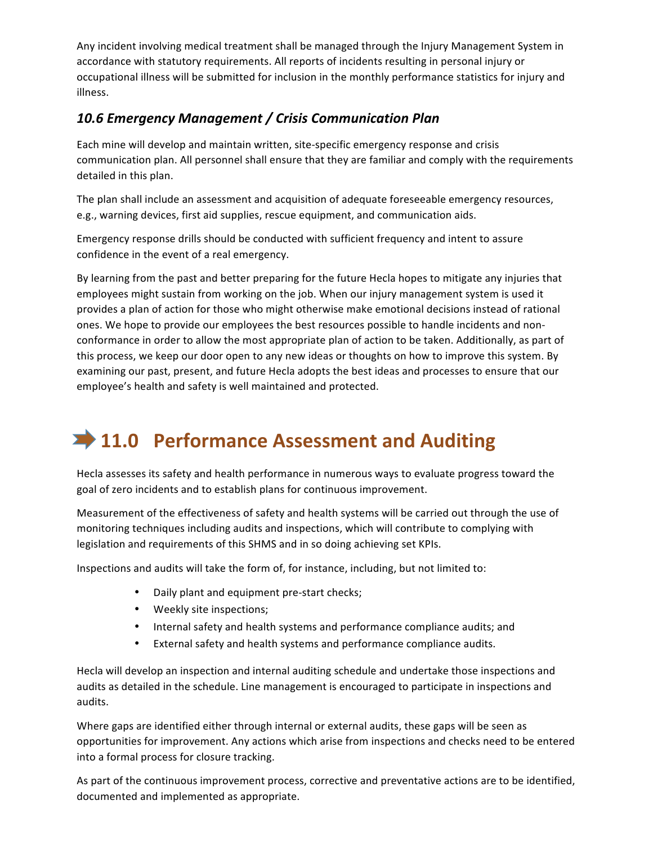Any incident involving medical treatment shall be managed through the Injury Management System in accordance with statutory requirements. All reports of incidents resulting in personal injury or occupational illness will be submitted for inclusion in the monthly performance statistics for injury and illness.

#### *10.6 Emergency Management / Crisis Communication Plan*

Each mine will develop and maintain written, site-specific emergency response and crisis communication plan. All personnel shall ensure that they are familiar and comply with the requirements detailed in this plan.

The plan shall include an assessment and acquisition of adequate foreseeable emergency resources, e.g., warning devices, first aid supplies, rescue equipment, and communication aids.

Emergency response drills should be conducted with sufficient frequency and intent to assure confidence in the event of a real emergency.

By learning from the past and better preparing for the future Hecla hopes to mitigate any injuries that employees might sustain from working on the job. When our injury management system is used it provides a plan of action for those who might otherwise make emotional decisions instead of rational ones. We hope to provide our employees the best resources possible to handle incidents and nonconformance in order to allow the most appropriate plan of action to be taken. Additionally, as part of this process, we keep our door open to any new ideas or thoughts on how to improve this system. By examining our past, present, and future Hecla adopts the best ideas and processes to ensure that our employee's health and safety is well maintained and protected.

# **11.0 Performance Assessment and Auditing**

Hecla assesses its safety and health performance in numerous ways to evaluate progress toward the goal of zero incidents and to establish plans for continuous improvement.

Measurement of the effectiveness of safety and health systems will be carried out through the use of monitoring techniques including audits and inspections, which will contribute to complying with legislation and requirements of this SHMS and in so doing achieving set KPIs.

Inspections and audits will take the form of, for instance, including, but not limited to:

- Daily plant and equipment pre-start checks;
- Weekly site inspections;
- Internal safety and health systems and performance compliance audits; and
- External safety and health systems and performance compliance audits.

Hecla will develop an inspection and internal auditing schedule and undertake those inspections and audits as detailed in the schedule. Line management is encouraged to participate in inspections and audits.

Where gaps are identified either through internal or external audits, these gaps will be seen as opportunities for improvement. Any actions which arise from inspections and checks need to be entered into a formal process for closure tracking.

As part of the continuous improvement process, corrective and preventative actions are to be identified, documented and implemented as appropriate.